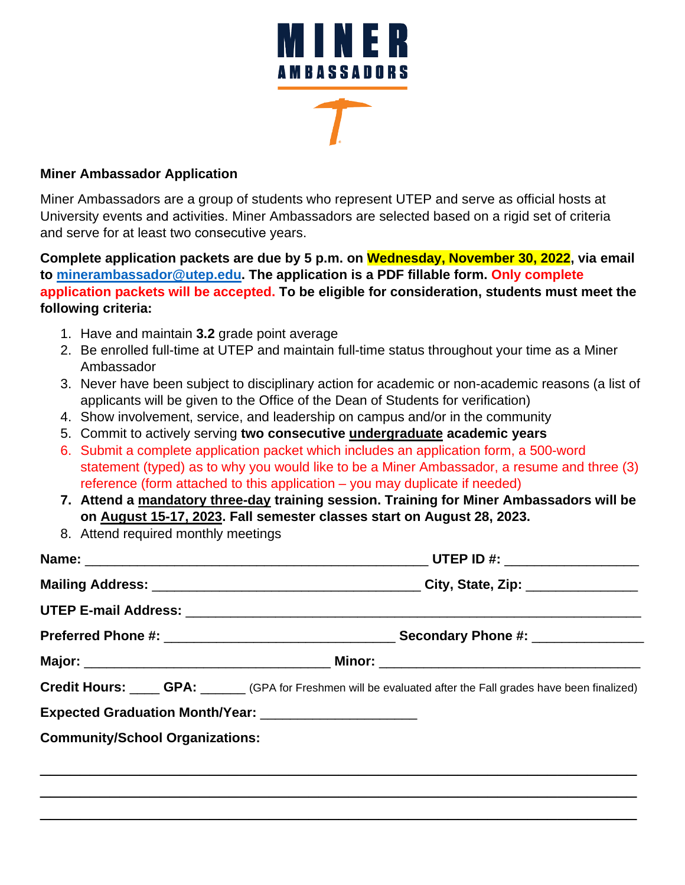

#### **Miner Ambassador Application**

Miner Ambassadors are a group of students who represent UTEP and serve as official hosts at University events and activities. Miner Ambassadors are selected based on a rigid set of criteria and serve for at least two consecutive years.

**Complete application packets are due by 5 p.m. on Wednesday, November 30, 2022, via email to [minerambassador@utep.edu.](mailto:minerambassador@utep.edu) The application is a PDF fillable form. Only complete application packets will be accepted. To be eligible for consideration, students must meet the following criteria:**

- 1. Have and maintain **3.2** grade point average
- 2. Be enrolled full-time at UTEP and maintain full-time status throughout your time as a Miner Ambassador
- 3. Never have been subject to disciplinary action for academic or non-academic reasons (a list of applicants will be given to the Office of the Dean of Students for verification)
- 4. Show involvement, service, and leadership on campus and/or in the community
- 5. Commit to actively serving **two consecutive undergraduate academic years**
- 6. Submit a complete application packet which includes an application form, a 500-word statement (typed) as to why you would like to be a Miner Ambassador, a resume and three (3) reference (form attached to this application – you may duplicate if needed)
- **7. Attend a mandatory three-day training session. Training for Miner Ambassadors will be on August 15-17, 2023. Fall semester classes start on August 28, 2023.**
- 8. Attend required monthly meetings

|                                                         | Credit Hours: ____ GPA: _____ (GPA for Freshmen will be evaluated after the Fall grades have been finalized) |
|---------------------------------------------------------|--------------------------------------------------------------------------------------------------------------|
| Expected Graduation Month/Year: _______________________ |                                                                                                              |
| <b>Community/School Organizations:</b>                  |                                                                                                              |
|                                                         |                                                                                                              |

\_\_\_\_\_\_\_\_\_\_\_\_\_\_\_\_\_\_\_\_\_\_\_\_\_\_\_\_\_\_\_\_\_\_\_\_\_\_\_\_\_\_\_\_\_\_\_\_\_\_\_\_\_\_\_\_\_\_\_\_

\_\_\_\_\_\_\_\_\_\_\_\_\_\_\_\_\_\_\_\_\_\_\_\_\_\_\_\_\_\_\_\_\_\_\_\_\_\_\_\_\_\_\_\_\_\_\_\_\_\_\_\_\_\_\_\_\_\_\_\_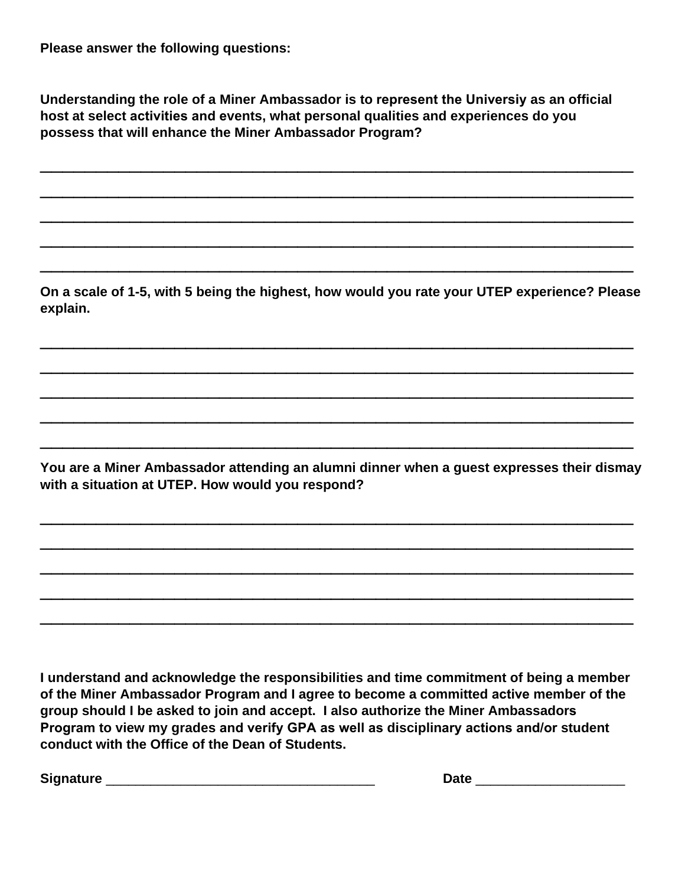**Please answer the following questions:**

**Understanding the role of a Miner Ambassador is to represent the Universiy as an official host at select activities and events, what personal qualities and experiences do you possess that will enhance the Miner Ambassador Program?** 

\_\_\_\_\_\_\_\_\_\_\_\_\_\_\_\_\_\_\_\_\_\_\_\_\_\_\_\_\_\_\_\_\_\_\_\_\_\_\_\_\_\_\_\_\_\_\_\_\_\_\_\_\_

\_\_\_\_\_\_\_\_\_\_\_\_\_\_\_\_\_\_\_\_\_\_\_\_\_\_\_\_\_\_\_\_\_\_\_\_\_\_\_\_\_\_\_\_\_\_\_\_\_\_\_\_\_

\_\_\_\_\_\_\_\_\_\_\_\_\_\_\_\_\_\_\_\_\_\_\_\_\_\_\_\_\_\_\_\_\_\_\_\_\_\_\_\_\_\_\_\_\_\_\_\_\_\_\_\_\_

\_\_\_\_\_\_\_\_\_\_\_\_\_\_\_\_\_\_\_\_\_\_\_\_\_\_\_\_\_\_\_\_\_\_\_\_\_\_\_\_\_\_\_\_\_\_\_\_\_\_\_\_\_

\_\_\_\_\_\_\_\_\_\_\_\_\_\_\_\_\_\_\_\_\_\_\_\_\_\_\_\_\_\_\_\_\_\_\_\_\_\_\_\_\_\_\_\_\_\_\_\_\_\_\_\_\_

**On a scale of 1-5, with 5 being the highest, how would you rate your UTEP experience? Please explain.**

\_\_\_\_\_\_\_\_\_\_\_\_\_\_\_\_\_\_\_\_\_\_\_\_\_\_\_\_\_\_\_\_\_\_\_\_\_\_\_\_\_\_\_\_\_\_\_\_\_\_\_\_\_

\_\_\_\_\_\_\_\_\_\_\_\_\_\_\_\_\_\_\_\_\_\_\_\_\_\_\_\_\_\_\_\_\_\_\_\_\_\_\_\_\_\_\_\_\_\_\_\_\_\_\_\_\_

\_\_\_\_\_\_\_\_\_\_\_\_\_\_\_\_\_\_\_\_\_\_\_\_\_\_\_\_\_\_\_\_\_\_\_\_\_\_\_\_\_\_\_\_\_\_\_\_\_\_\_\_\_

\_\_\_\_\_\_\_\_\_\_\_\_\_\_\_\_\_\_\_\_\_\_\_\_\_\_\_\_\_\_\_\_\_\_\_\_\_\_\_\_\_\_\_\_\_\_\_\_\_\_\_\_\_

\_\_\_\_\_\_\_\_\_\_\_\_\_\_\_\_\_\_\_\_\_\_\_\_\_\_\_\_\_\_\_\_\_\_\_\_\_\_\_\_\_\_\_\_\_\_\_\_\_\_\_\_\_

**You are a Miner Ambassador attending an alumni dinner when a guest expresses their dismay with a situation at UTEP. How would you respond?**

\_\_\_\_\_\_\_\_\_\_\_\_\_\_\_\_\_\_\_\_\_\_\_\_\_\_\_\_\_\_\_\_\_\_\_\_\_\_\_\_\_\_\_\_\_\_\_\_\_\_\_\_\_

\_\_\_\_\_\_\_\_\_\_\_\_\_\_\_\_\_\_\_\_\_\_\_\_\_\_\_\_\_\_\_\_\_\_\_\_\_\_\_\_\_\_\_\_\_\_\_\_\_\_\_\_\_

\_\_\_\_\_\_\_\_\_\_\_\_\_\_\_\_\_\_\_\_\_\_\_\_\_\_\_\_\_\_\_\_\_\_\_\_\_\_\_\_\_\_\_\_\_\_\_\_\_\_\_\_\_

\_\_\_\_\_\_\_\_\_\_\_\_\_\_\_\_\_\_\_\_\_\_\_\_\_\_\_\_\_\_\_\_\_\_\_\_\_\_\_\_\_\_\_\_\_\_\_\_\_\_\_\_\_

\_\_\_\_\_\_\_\_\_\_\_\_\_\_\_\_\_\_\_\_\_\_\_\_\_\_\_\_\_\_\_\_\_\_\_\_\_\_\_\_\_\_\_\_\_\_\_\_\_\_\_\_\_

**I understand and acknowledge the responsibilities and time commitment of being a member of the Miner Ambassador Program and I agree to become a committed active member of the group should I be asked to join and accept. I also authorize the Miner Ambassadors Program to view my grades and verify GPA as well as disciplinary actions and/or student conduct with the Office of the Dean of Students.** 

**Signature** \_\_\_\_\_\_\_\_\_\_\_\_\_\_\_\_\_\_\_\_\_\_\_\_\_\_\_\_\_\_\_\_\_\_\_\_ **Date** \_\_\_\_\_\_\_\_\_\_\_\_\_\_\_\_\_\_\_\_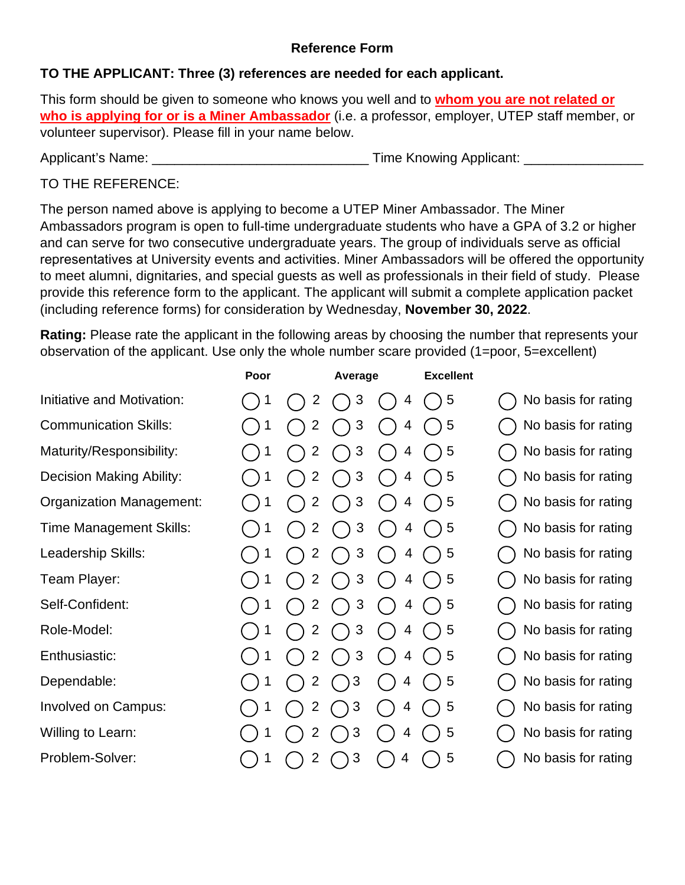### **Reference Form**

### **TO THE APPLICANT: Three (3) references are needed for each applicant.**

This form should be given to someone who knows you well and to **whom you are not related or who is applying for or is a Miner Ambassador** (i.e. a professor, employer, UTEP staff member, or volunteer supervisor). Please fill in your name below.

Applicant's Name:  $\Box$  Time Knowing Applicant:  $\Box$ 

## TO THE REFERENCE:

The person named above is applying to become a UTEP Miner Ambassador. The Miner Ambassadors program is open to full-time undergraduate students who have a GPA of 3.2 or higher and can serve for two consecutive undergraduate years. The group of individuals serve as official representatives at University events and activities. Miner Ambassadors will be offered the opportunity to meet alumni, dignitaries, and special guests as well as professionals in their field of study. Please provide this reference form to the applicant. The applicant will submit a complete application packet (including reference forms) for consideration by Wednesday, **November 30, 2022**.

**Rating:** Please rate the applicant in the following areas by choosing the number that represents your observation of the applicant. Use only the whole number scare provided (1=poor, 5=excellent)

|                              | Poor |                | Average    |   | <b>Excellent</b> |                     |
|------------------------------|------|----------------|------------|---|------------------|---------------------|
| Initiative and Motivation:   |      | 2              | 3          | 4 | 5                | No basis for rating |
| <b>Communication Skills:</b> |      | 2              | 3          | 4 | 5                | No basis for rating |
| Maturity/Responsibility:     |      | 2              | 3          | 4 | 5                | No basis for rating |
| Decision Making Ability:     |      | 2              | 3          | 4 | 5                | No basis for rating |
| Organization Management:     |      | 2              | 3          | 4 | 5                | No basis for rating |
| Time Management Skills:      |      | 2              | 3          | 4 | 5                | No basis for rating |
| Leadership Skills:           |      | 2              | 3          | 4 | 5                | No basis for rating |
| Team Player:                 |      | 2              | 3          | 4 | 5                | No basis for rating |
| Self-Confident:              |      | 2              | 3          | 4 | 5                | No basis for rating |
| Role-Model:                  |      | $\overline{2}$ | 3          | 4 | 5                | No basis for rating |
| Enthusiastic:                |      | 2              | 3          | 4 | 5                | No basis for rating |
| Dependable:                  |      | $\overline{2}$ | 3          | 4 | 5                | No basis for rating |
| <b>Involved on Campus:</b>   |      | 2              | 3          | 4 | 5                | No basis for rating |
| Willing to Learn:            |      | 2              | 3          | 4 | 5                | No basis for rating |
| Problem-Solver:              | 1    | $\overline{2}$ | $\sqrt{3}$ | 4 | 5                | No basis for rating |